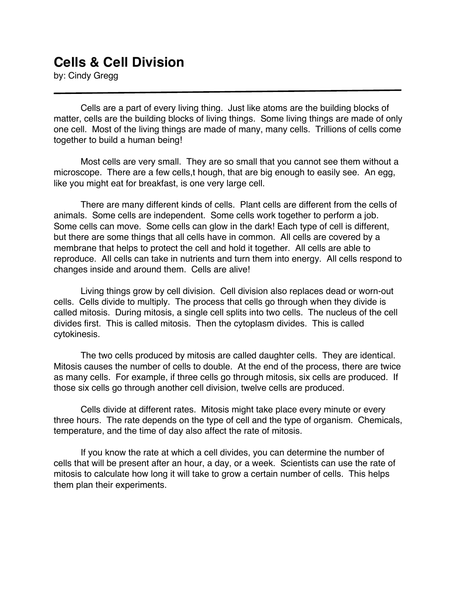## **Cells & Cell Division**

by: Cindy Gregg

Cells are a part of every living thing. Just like atoms are the building blocks of matter, cells are the building blocks of living things. Some living things are made of only one cell. Most of the living things are made of many, many cells. Trillions of cells come together to build a human being!

Most cells are very small. They are so small that you cannot see them without a microscope. There are a few cells,t hough, that are big enough to easily see. An egg, like you might eat for breakfast, is one very large cell.

There are many different kinds of cells. Plant cells are different from the cells of animals. Some cells are independent. Some cells work together to perform a job. Some cells can move. Some cells can glow in the dark! Each type of cell is different, but there are some things that all cells have in common. All cells are covered by a membrane that helps to protect the cell and hold it together. All cells are able to reproduce. All cells can take in nutrients and turn them into energy. All cells respond to changes inside and around them. Cells are alive!

Living things grow by cell division. Cell division also replaces dead or worn-out cells. Cells divide to multiply. The process that cells go through when they divide is called mitosis. During mitosis, a single cell splits into two cells. The nucleus of the cell divides first. This is called mitosis. Then the cytoplasm divides. This is called cytokinesis.

The two cells produced by mitosis are called daughter cells. They are identical. Mitosis causes the number of cells to double. At the end of the process, there are twice as many cells. For example, if three cells go through mitosis, six cells are produced. If those six cells go through another cell division, twelve cells are produced.

Cells divide at different rates. Mitosis might take place every minute or every three hours. The rate depends on the type of cell and the type of organism. Chemicals, temperature, and the time of day also affect the rate of mitosis.

If you know the rate at which a cell divides, you can determine the number of cells that will be present after an hour, a day, or a week. Scientists can use the rate of mitosis to calculate how long it will take to grow a certain number of cells. This helps them plan their experiments.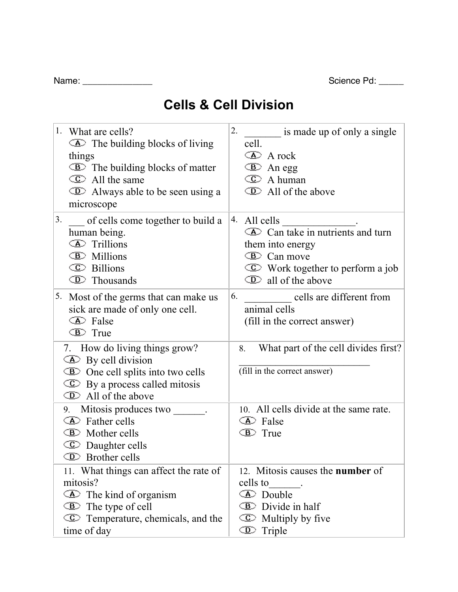| Name: | Science Pd: |
|-------|-------------|
|-------|-------------|

|  | Name: |  |
|--|-------|--|
|  |       |  |

## **Cells & Cell Division**

| 1.<br>What are cells?<br>$\Phi$ The building blocks of living<br>things<br><b>E</b> The building blocks of matter<br>$\circ$ All the same<br><b>ID</b> Always able to be seen using a<br>microscope | 2.<br>is made up of only a single<br>cell.<br><b>A</b> A rock<br><b>E</b> An egg<br><b>C</b> A human<br><b>I</b> All of the above                                                               |
|-----------------------------------------------------------------------------------------------------------------------------------------------------------------------------------------------------|-------------------------------------------------------------------------------------------------------------------------------------------------------------------------------------------------|
| 3.<br>of cells come together to build a<br>human being.<br><b>E</b> Trillions<br><b>E</b> Millions<br><b>C</b> Billions<br><b>I</b> Thousands                                                       | 4. All cells<br>All cells $\overline{\triangle}$ Can take in nutrients and turn<br>them into energy<br><b>E</b> Can move<br><b>C</b> Work together to perform a job<br>$\circ$ all of the above |
| 5. Most of the germs that can make us<br>sick are made of only one cell.<br><b>E</b> False<br><b>E</b> True                                                                                         | 6.<br>cells are different from<br>animal cells<br>(fill in the correct answer)                                                                                                                  |
| 7. How do living things grow?<br>$\Phi$ By cell division<br><b>E</b> One cell splits into two cells<br>$\mathbb{C}$ By a process called mitosis<br><b>ID</b> All of the above                       | What part of the cell divides first?<br>8.<br>(fill in the correct answer)                                                                                                                      |
| 9. Mitosis produces two ______.<br><b>E</b> Father cells<br><b>E</b> Mother cells<br><b>C</b> Daughter cells<br><b>I</b> Brother cells                                                              | 10. All cells divide at the same rate.<br><b>B</b> False<br><b>E</b> True                                                                                                                       |
| 11. What things can affect the rate of<br>mitosis?<br><b>E</b> The kind of organism<br><b>E</b> The type of cell<br><b>C</b> Temperature, chemicals, and the<br>time of day                         | 12. Mitosis causes the <b>number</b> of<br>cells to<br><b>E</b> Double<br><b>E</b> Divide in half<br>C Multiply by five<br><b>I</b> Triple                                                      |